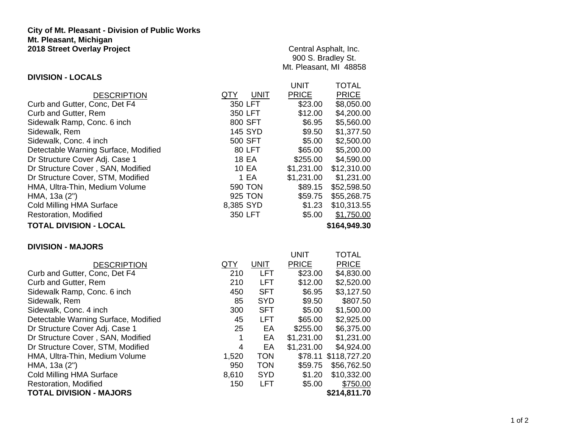## **City of Mt. Pleasant - Division of Public Works Mt. Pleasant, Michigan 2018 Street Overlay Project**

## **DIVISION - LOCALS**

Central Asphalt, Inc. 900 S. Bradley St. Mt. Pleasant, MI 48858

UNIT TOTAL

|                                      |                    | UNIL         | IVIAL        |
|--------------------------------------|--------------------|--------------|--------------|
| <b>DESCRIPTION</b>                   | <b>UNIT</b><br>QTY | <b>PRICE</b> | <b>PRICE</b> |
| Curb and Gutter, Conc, Det F4        | 350 LFT            | \$23.00      | \$8,050.00   |
| Curb and Gutter, Rem                 | 350 LFT            | \$12.00      | \$4,200.00   |
| Sidewalk Ramp, Conc. 6 inch          | 800 SFT            | \$6.95       | \$5,560.00   |
| Sidewalk, Rem                        | <b>145 SYD</b>     | \$9.50       | \$1,377.50   |
| Sidewalk, Conc. 4 inch               | 500 SFT            | \$5.00       | \$2,500.00   |
| Detectable Warning Surface, Modified | 80 LFT             | \$65.00      | \$5,200.00   |
| Dr Structure Cover Adj. Case 1       | 18 EA              | \$255.00     | \$4,590.00   |
| Dr Structure Cover, SAN, Modified    | 10 EA              | \$1,231.00   | \$12,310.00  |
| Dr Structure Cover, STM, Modified    | 1 EA               | \$1,231.00   | \$1,231.00   |
| HMA, Ultra-Thin, Medium Volume       | <b>590 TON</b>     | \$89.15      | \$52,598.50  |
| HMA, 13a (2")                        | 925 TON            | \$59.75      | \$55,268.75  |
| Cold Milling HMA Surface             | 8,385 SYD          | \$1.23       | \$10,313.55  |
| Restoration, Modified                | 350 LFT            | \$5.00       | \$1,750.00   |
| <b>TOTAL DIVISION - LOCAL</b>        |                    |              | \$164,949.30 |

## **DIVISION - MAJORS**

|                                      |       |             | UNIT         | <b>TOTAL</b>         |
|--------------------------------------|-------|-------------|--------------|----------------------|
| <b>DESCRIPTION</b>                   | QTY   | <b>UNIT</b> | <b>PRICE</b> | <b>PRICE</b>         |
| Curb and Gutter, Conc, Det F4        | 210   | <b>LFT</b>  | \$23.00      | \$4,830.00           |
| Curb and Gutter, Rem                 | 210   | <b>LFT</b>  | \$12.00      | \$2,520.00           |
| Sidewalk Ramp, Conc. 6 inch          | 450   | <b>SFT</b>  | \$6.95       | \$3,127.50           |
| Sidewalk, Rem                        | 85    | <b>SYD</b>  | \$9.50       | \$807.50             |
| Sidewalk, Conc. 4 inch               | 300   | <b>SFT</b>  | \$5.00       | \$1,500.00           |
| Detectable Warning Surface, Modified | 45    | <b>LFT</b>  | \$65.00      | \$2,925.00           |
| Dr Structure Cover Adj. Case 1       | 25    | EA          | \$255.00     | \$6,375.00           |
| Dr Structure Cover, SAN, Modified    | 1     | EA          | \$1,231.00   | \$1,231.00           |
| Dr Structure Cover, STM, Modified    | 4     | EA          | \$1,231.00   | \$4,924.00           |
| HMA, Ultra-Thin, Medium Volume       | 1,520 | <b>TON</b>  |              | \$78.11 \$118,727.20 |
| HMA, 13a (2")                        | 950   | <b>TON</b>  | \$59.75      | \$56,762.50          |
| <b>Cold Milling HMA Surface</b>      | 8,610 | <b>SYD</b>  | \$1.20       | \$10,332.00          |
| Restoration, Modified                | 150   | <b>LFT</b>  | \$5.00       | \$750.00             |
| <b>TOTAL DIVISION - MAJORS</b>       |       |             |              | \$214,811.70         |
|                                      |       |             |              |                      |